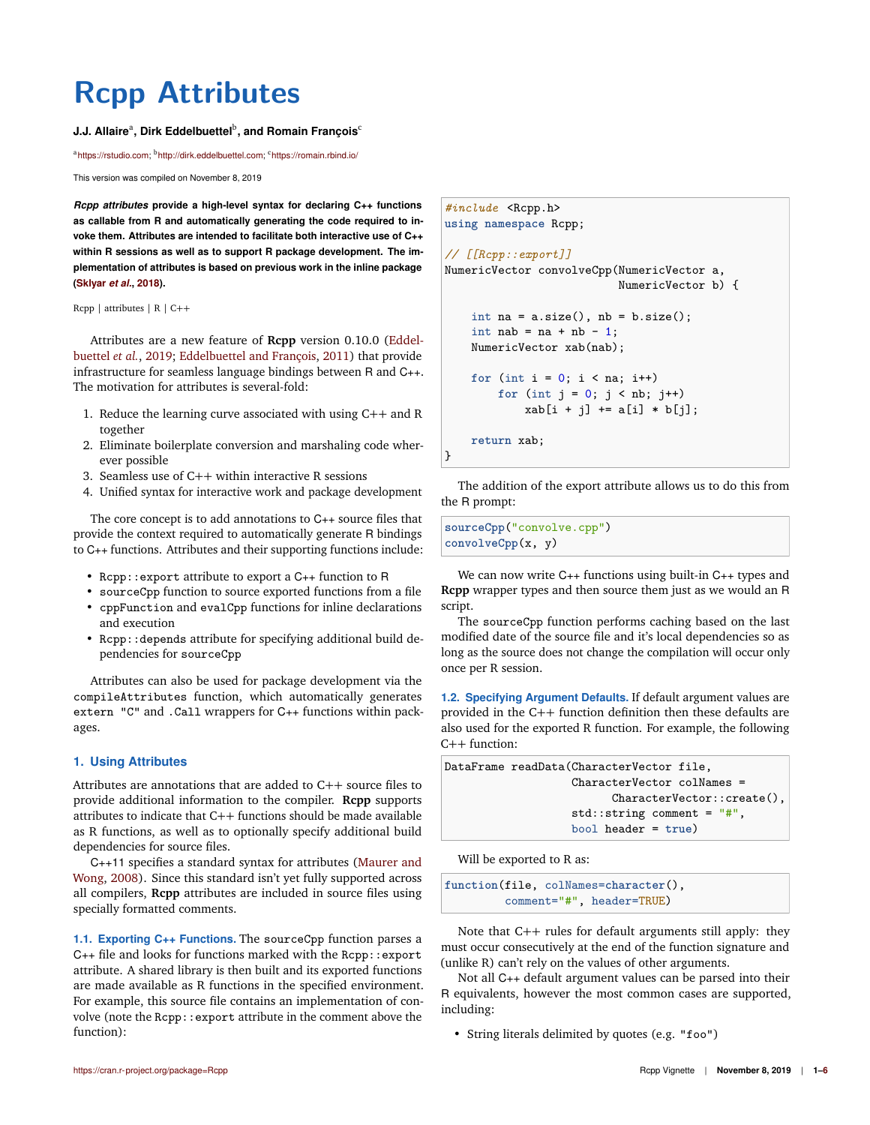# **Rcpp Attributes**

## **J.J. Allaire<sup>a</sup>, Dirk Eddelbuettel<sup>b</sup>, and Romain François<sup>c</sup>**

<sup>a</sup>https://rstudio.com; <sup>b</sup>http://dirk.eddelbuettel.com; <sup>c</sup>https://romain.rbind.io/

This version was compiled on November 8, 2019

*Rcpp attributes* **provide a high-level syntax for declaring C++ functions as callable from R and automatically generating the code required to invoke them. Attributes are intended to facilitate both interactive use of C++ within R sessions as well as to support R package development. The implementation of attributes is based on previous work in the inline package (Sklyar** *et al.***, 2018).**

Rcpp | attributes | R | C++

Attributes are a new feature of **Rcpp** version 0.10.0 (Eddelbuettel *et al.*, 2019; Eddelbuettel and François, 2011) that provide infrastructure for seamless language bindings between R and C++. The motivation for attributes is several-fold:

- 1. Reduce the learning curve associated with using C++ and R together
- 2. Eliminate boilerplate conversion and marshaling code wherever possible
- 3. Seamless use of C++ within interactive R sessions
- 4. Unified syntax for interactive work and package development

The core concept is to add annotations to C++ source files that provide the context required to automatically generate R bindings to C++ functions. Attributes and their supporting functions include:

- Rcpp::export attribute to export a C++ function to R
- sourceCpp function to source exported functions from a file
- cppFunction and evalCpp functions for inline declarations and execution
- Rcpp::depends attribute for specifying additional build dependencies for sourceCpp

Attributes can also be used for package development via the compileAttributes function, which automatically generates extern "C" and .Call wrappers for C++ functions within packages.

### **1. Using Attributes**

Attributes are annotations that are added to C++ source files to provide additional information to the compiler. **Rcpp** supports attributes to indicate that C++ functions should be made available as R functions, as well as to optionally specify additional build dependencies for source files.

C++11 specifies a standard syntax for attributes (Maurer and Wong, 2008). Since this standard isn't yet fully supported across all compilers, **Rcpp** attributes are included in source files using specially formatted comments.

**1.1. Exporting C++ Functions.** The sourceCpp function parses a  $C_{++}$  file and looks for functions marked with the Rcpp::export attribute. A shared library is then built and its exported functions are made available as R functions in the specified environment. For example, this source file contains an implementation of convolve (note the Rcpp::export attribute in the comment above the function):

```
#include <Rcpp.h>
using namespace Rcpp;
// [[Rcpp::export]]
NumericVector convolveCpp(NumericVector a,
                          NumericVector b) {
    int na = a.size(), nb = b.size();int nab = na + nb - 1;
    NumericVector xab(nab);
    for (int i = 0; i < na; i^{++})
        for (int j = 0; j < nb; j++)xab[i + j] += a[i] * b[i];return xab;
}
```
The addition of the export attribute allows us to do this from the R prompt:

**sourceCpp**("convolve.cpp") **convolveCpp**(x, y)

We can now write C++ functions using built-in C++ types and **Rcpp** wrapper types and then source them just as we would an R script.

The sourceCpp function performs caching based on the last modified date of the source file and it's local dependencies so as long as the source does not change the compilation will occur only once per R session.

**1.2. Specifying Argument Defaults.** If default argument values are provided in the C++ function definition then these defaults are also used for the exported R function. For example, the following C++ function:

DataFrame readData(CharacterVector file, CharacterVector colNames = CharacterVector::create(), std::string comment = "#", bool header = **true**)

Will be exported to R as:

```
function(file, colNames=character(),
        comment="#", header=TRUE)
```
Note that C++ rules for default arguments still apply: they must occur consecutively at the end of the function signature and (unlike R) can't rely on the values of other arguments.

Not all C++ default argument values can be parsed into their R equivalents, however the most common cases are supported, including:

• String literals delimited by quotes (e.g. "foo")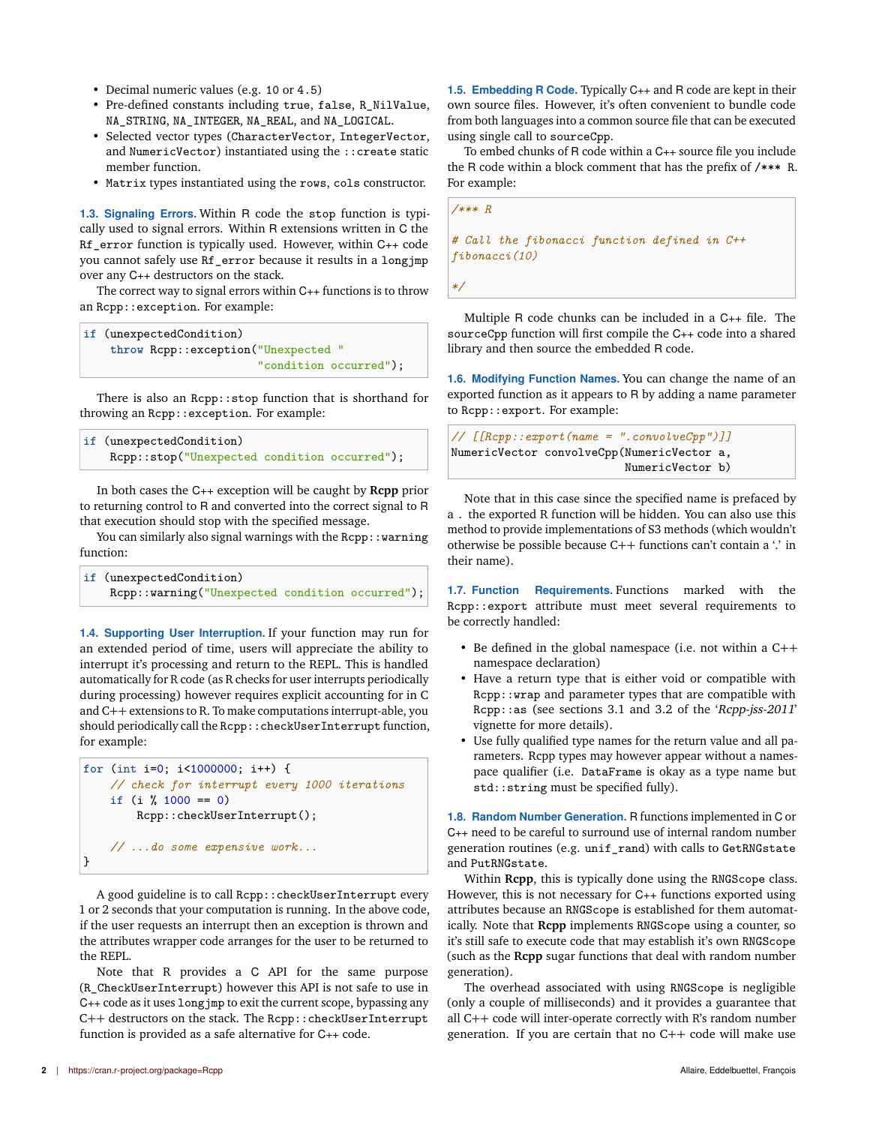- Decimal numeric values (e.g. 10 or 4.5)
- Pre-defined constants including true, false, R\_NilValue, NA\_STRING, NA\_INTEGER, NA\_REAL, and NA\_LOGICAL.
- Selected vector types (CharacterVector, IntegerVector, and NumericVector) instantiated using the ::create static member function.
- Matrix types instantiated using the rows, cols constructor.

**1.3. Signaling Errors.** Within R code the stop function is typically used to signal errors. Within R extensions written in C the Rf error function is typically used. However, within C++ code you cannot safely use Rf\_error because it results in a longjmp over any C++ destructors on the stack.

The correct way to signal errors within C++ functions is to throw an Rcpp::exception. For example:

```
if (unexpectedCondition)
   throw Rcpp::exception("Unexpected "
                          "condition occurred");
```
There is also an Rcpp::stop function that is shorthand for throwing an Rcpp::exception. For example:

```
if (unexpectedCondition)
    Rcpp::stop("Unexpected condition occurred");
```
In both cases the C++ exception will be caught by **Rcpp** prior to returning control to R and converted into the correct signal to R that execution should stop with the specified message.

You can similarly also signal warnings with the Rcpp:: warning function:

| if (unexpectedCondition)                        |  |
|-------------------------------------------------|--|
| Rcpp::warning("Unexpected condition occurred"); |  |

**1.4. Supporting User Interruption.** If your function may run for an extended period of time, users will appreciate the ability to interrupt it's processing and return to the REPL. This is handled automatically for R code (as R checks for user interrupts periodically during processing) however requires explicit accounting for in C and C++ extensions to R. To make computations interrupt-able, you should periodically call the Rcpp::checkUserInterrupt function, for example:

```
for (int i=0; i<1000000; i++) {
    // check for interrupt every 1000 iterations
    if (i % 1000 == 0)
        Rcpp::checkUserInterrupt();
    // ...do some expensive work...
}
```
A good guideline is to call Rcpp::checkUserInterrupt every 1 or 2 seconds that your computation is running. In the above code, if the user requests an interrupt then an exception is thrown and the attributes wrapper code arranges for the user to be returned to the REPL.

Note that R provides a C API for the same purpose (R\_CheckUserInterrupt) however this API is not safe to use in C++ code as it uses longjmp to exit the current scope, bypassing any C++ destructors on the stack. The Rcpp::checkUserInterrupt function is provided as a safe alternative for C++ code.

To embed chunks of R code within a C++ source file you include the R code within a block comment that has the prefix of /\*\*\* R. For example:

*/\*\*\* R # Call the fibonacci function defined in C++*

*fibonacci(10)*

*\*/*

Multiple R code chunks can be included in a C++ file. The sourceCpp function will first compile the C++ code into a shared library and then source the embedded R code.

**1.6. Modifying Function Names.** You can change the name of an exported function as it appears to R by adding a name parameter to Rcpp::export. For example:

```
// [[Rcpp::export(name = ".convolveCpp")]]
NumericVector convolveCpp(NumericVector a,
                          NumericVector b)
```
Note that in this case since the specified name is prefaced by a . the exported R function will be hidden. You can also use this method to provide implementations of S3 methods (which wouldn't otherwise be possible because C++ functions can't contain a '.' in their name).

**1.7. Function Requirements.** Functions marked with the Rcpp::export attribute must meet several requirements to be correctly handled:

- Be defined in the global namespace (i.e. not within a C++ namespace declaration)
- Have a return type that is either void or compatible with Rcpp::wrap and parameter types that are compatible with Rcpp::as (see sections 3.1 and 3.2 of the 'Rcpp-jss-2011' vignette for more details).
- Use fully qualified type names for the return value and all parameters. Rcpp types may however appear without a namespace qualifier (i.e. DataFrame is okay as a type name but std::string must be specified fully).

**1.8. Random Number Generation.** R functions implemented in C or C++ need to be careful to surround use of internal random number generation routines (e.g. unif\_rand) with calls to GetRNGstate and PutRNGstate.

Within **Rcpp**, this is typically done using the RNGScope class. However, this is not necessary for C++ functions exported using attributes because an RNGScope is established for them automatically. Note that **Rcpp** implements RNGScope using a counter, so it's still safe to execute code that may establish it's own RNGScope (such as the **Rcpp** sugar functions that deal with random number generation).

The overhead associated with using RNGScope is negligible (only a couple of milliseconds) and it provides a guarantee that all C++ code will inter-operate correctly with R's random number generation. If you are certain that no C++ code will make use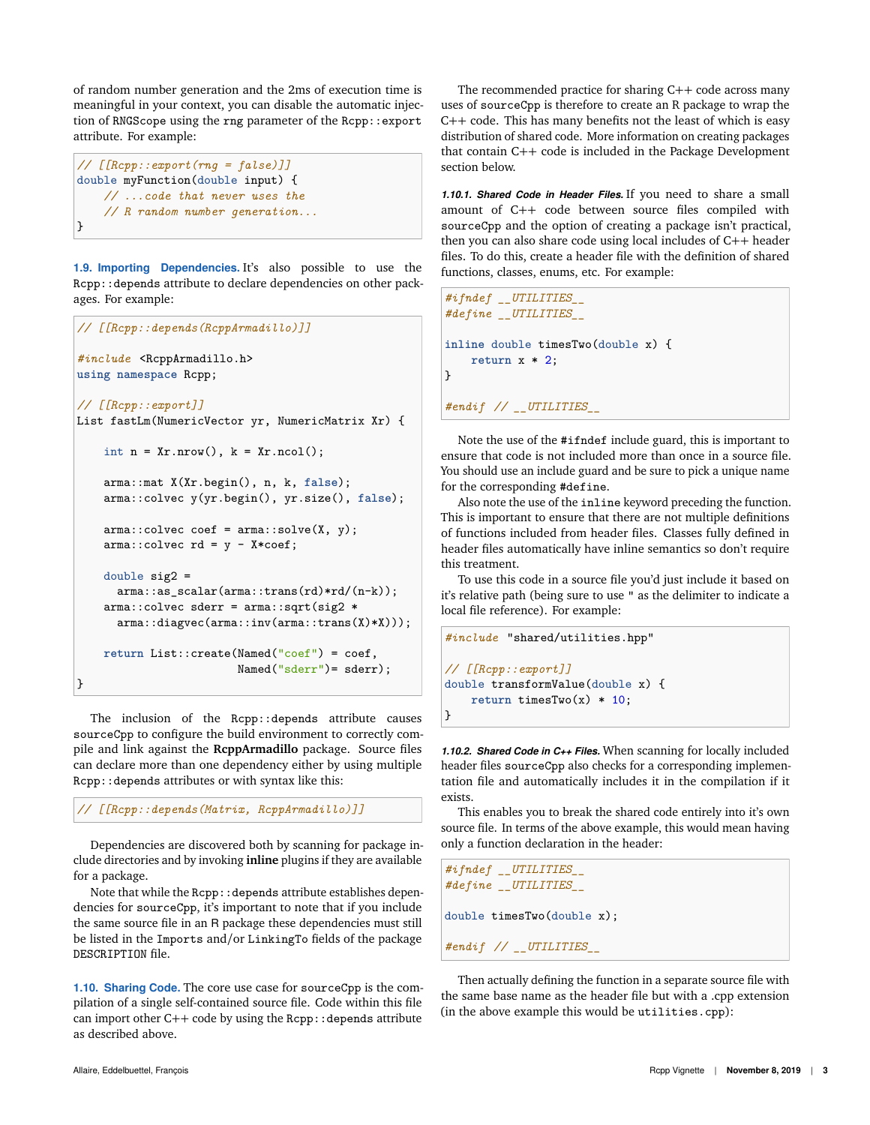of random number generation and the 2ms of execution time is meaningful in your context, you can disable the automatic injection of RNGScope using the rng parameter of the Rcpp::export attribute. For example:

```
// [[Rcpp::export(rng = false)]]
double myFunction(double input) {
    // ...code that never uses the
    // R random number generation...
}
```
**1.9. Importing Dependencies.** It's also possible to use the Rcpp::depends attribute to declare dependencies on other packages. For example:

```
// [[Rcpp::depends(RcppArmadillo)]]
#include <RcppArmadillo.h>
using namespace Rcpp;
// [[Rcpp::export]]
List fastLm(NumericVector yr, NumericMatrix Xr) {
    int n = xr.nrow(), k = xr.ncol();
    arma::mat X(Xr.begin(), n, k, false);
    arma::colvec y(yr.begin(), yr.size(), false);
    arma::colvec coef = arma::solve(X, y);arma::colvec rd = y - X*coef;double sig2 =
      arma::as_scalar(arma::trans(rd)*rd/(n-k));
    arma::colvec sderr = arma::sqrt(sig2 *
      arma::diagvec(arma::inv(arma::trans(X)*X)));
    return List::create(Named("coef") = coef,
                        Named("sderr")= sderr);
}
```
The inclusion of the Rcpp::depends attribute causes sourceCpp to configure the build environment to correctly compile and link against the **RcppArmadillo** package. Source files can declare more than one dependency either by using multiple Rcpp::depends attributes or with syntax like this:

*// [[Rcpp::depends(Matrix, RcppArmadillo)]]*

Dependencies are discovered both by scanning for package include directories and by invoking **inline** plugins if they are available for a package.

Note that while the Rcpp::depends attribute establishes dependencies for sourceCpp, it's important to note that if you include the same source file in an R package these dependencies must still be listed in the Imports and/or LinkingTo fields of the package DESCRIPTION file.

**1.10. Sharing Code.** The core use case for sourceCpp is the compilation of a single self-contained source file. Code within this file can import other C++ code by using the Rcpp:: depends attribute as described above.

The recommended practice for sharing  $C++$  code across many uses of sourceCpp is therefore to create an R package to wrap the C++ code. This has many benefits not the least of which is easy distribution of shared code. More information on creating packages that contain C++ code is included in the Package Development section below.

*1.10.1. Shared Code in Header Files.* If you need to share a small amount of C++ code between source files compiled with sourceCpp and the option of creating a package isn't practical, then you can also share code using local includes of C++ header files. To do this, create a header file with the definition of shared functions, classes, enums, etc. For example:

```
#ifndef __UTILITIES__
#define __UTILITIES__
inline double timesTwo(double x) {
   return x * 2;
}
#endif // __UTILITIES__
```
Note the use of the #ifndef include guard, this is important to ensure that code is not included more than once in a source file. You should use an include guard and be sure to pick a unique name for the corresponding #define.

Also note the use of the inline keyword preceding the function. This is important to ensure that there are not multiple definitions of functions included from header files. Classes fully defined in header files automatically have inline semantics so don't require this treatment.

To use this code in a source file you'd just include it based on it's relative path (being sure to use " as the delimiter to indicate a local file reference). For example:

```
#include "shared/utilities.hpp"
// [[Rcpp::export]]
double transformValue(double x) {
    return timesTwo(x) * 10;
}
```
*1.10.2. Shared Code in C++ Files.* When scanning for locally included header files sourceCpp also checks for a corresponding implementation file and automatically includes it in the compilation if it exists.

This enables you to break the shared code entirely into it's own source file. In terms of the above example, this would mean having only a function declaration in the header:

```
#ifndef __UTILITIES__
#define __UTILITIES__
double timesTwo(double x);
#endif // __UTILITIES__
```
Then actually defining the function in a separate source file with the same base name as the header file but with a .cpp extension (in the above example this would be utilities.cpp):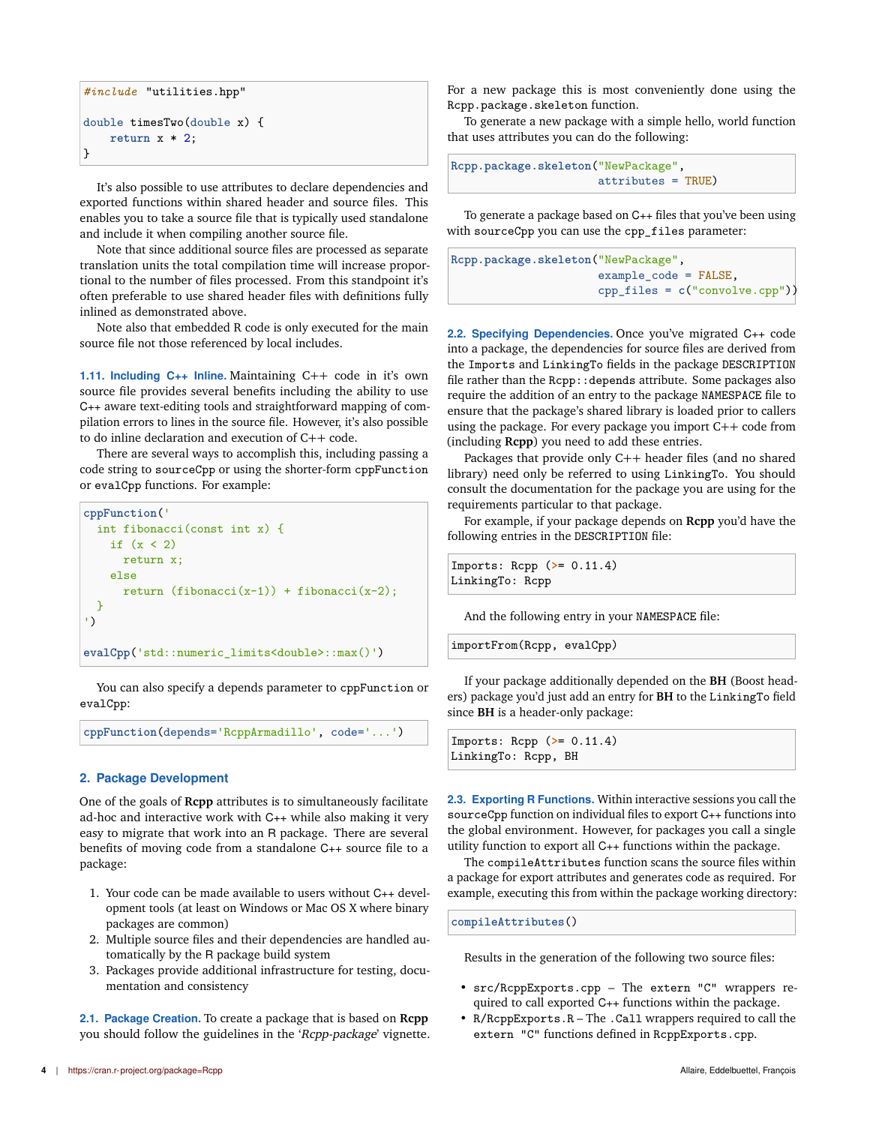```
#include "utilities.hpp"
double timesTwo(double x) {
    return x * 2;
}
```
It's also possible to use attributes to declare dependencies and exported functions within shared header and source files. This enables you to take a source file that is typically used standalone and include it when compiling another source file.

Note that since additional source files are processed as separate translation units the total compilation time will increase proportional to the number of files processed. From this standpoint it's often preferable to use shared header files with definitions fully inlined as demonstrated above.

Note also that embedded R code is only executed for the main source file not those referenced by local includes.

**1.11. Including C++ Inline.** Maintaining C++ code in it's own source file provides several benefits including the ability to use C++ aware text-editing tools and straightforward mapping of compilation errors to lines in the source file. However, it's also possible to do inline declaration and execution of C++ code.

There are several ways to accomplish this, including passing a code string to sourceCpp or using the shorter-form cppFunction or evalCpp functions. For example:

```
cppFunction('
 int fibonacci(const int x) {
   if (x < 2)return x;
    else
     return (fibonacci(x-1)) + fibonacci(x-2);}
')
evalCpp('std::numeric_limits<double>::max()')
```
You can also specify a depends parameter to cppFunction or evalCpp:

**cppFunction**(depends='RcppArmadillo', code='...')

### **2. Package Development**

One of the goals of **Rcpp** attributes is to simultaneously facilitate ad-hoc and interactive work with C++ while also making it very easy to migrate that work into an R package. There are several benefits of moving code from a standalone C++ source file to a package:

- 1. Your code can be made available to users without C++ development tools (at least on Windows or Mac OS X where binary packages are common)
- 2. Multiple source files and their dependencies are handled automatically by the R package build system
- 3. Packages provide additional infrastructure for testing, documentation and consistency

**2.1. Package Creation.** To create a package that is based on **Rcpp** you should follow the guidelines in the 'Rcpp-package' vignette. For a new package this is most conveniently done using the Rcpp.package.skeleton function.

To generate a new package with a simple hello, world function that uses attributes you can do the following:

```
Rcpp.package.skeleton("NewPackage",
                      attributes = TRUE)
```
To generate a package based on C++ files that you've been using with sourceCpp you can use the cpp\_files parameter:

```
Rcpp.package.skeleton("NewPackage",
                      example_code = FALSE,
                      cpp_files = c("convolve.cpp"))
```
**2.2. Specifying Dependencies.** Once you've migrated C++ code into a package, the dependencies for source files are derived from the Imports and LinkingTo fields in the package DESCRIPTION file rather than the Rcpp::depends attribute. Some packages also require the addition of an entry to the package NAMESPACE file to ensure that the package's shared library is loaded prior to callers using the package. For every package you import C++ code from (including **Rcpp**) you need to add these entries.

Packages that provide only C++ header files (and no shared library) need only be referred to using LinkingTo. You should consult the documentation for the package you are using for the requirements particular to that package.

For example, if your package depends on **Rcpp** you'd have the following entries in the DESCRIPTION file:

Imports: Rcpp (**>**= 0.11.4) LinkingTo: Rcpp

And the following entry in your NAMESPACE file:

importFrom(Rcpp, evalCpp)

If your package additionally depended on the **BH** (Boost headers) package you'd just add an entry for **BH** to the LinkingTo field since **BH** is a header-only package:

| Imports: $\text{Rcpp}$ (>= 0.11.4) |  |
|------------------------------------|--|
| LinkingTo: Rcpp, BH                |  |

**2.3. Exporting R Functions.** Within interactive sessions you call the sourceCpp function on individual files to export C++ functions into the global environment. However, for packages you call a single utility function to export all C++ functions within the package.

The compileAttributes function scans the source files within a package for export attributes and generates code as required. For example, executing this from within the package working directory:

**compileAttributes**()

Results in the generation of the following two source files:

- src/RcppExports.cpp The extern "C" wrappers required to call exported C++ functions within the package.
- $R/ReppExpress. R The . Call wrappers required to call the$ extern "C" functions defined in RcppExports.cpp.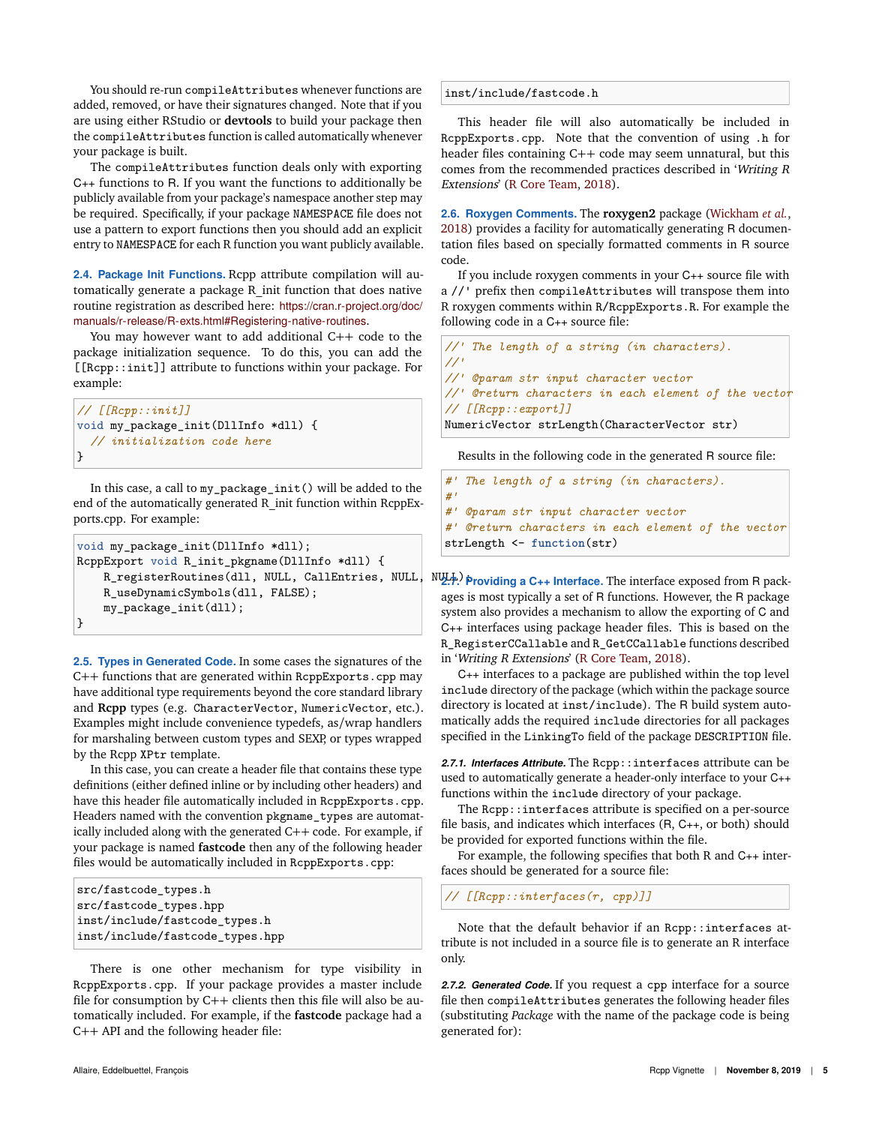You should re-run compileAttributes whenever functions are added, removed, or have their signatures changed. Note that if you are using either RStudio or **devtools** to build your package then the compileAttributes function is called automatically whenever your package is built.

The compileAttributes function deals only with exporting C++ functions to R. If you want the functions to additionally be publicly available from your package's namespace another step may be required. Specifically, if your package NAMESPACE file does not use a pattern to export functions then you should add an explicit entry to NAMESPACE for each R function you want publicly available.

**2.4. Package Init Functions.** Rcpp attribute compilation will automatically generate a package R\_init function that does native routine registration as described here: https://cran.r-project.org/doc/ manuals/r-release/R-exts.html#Registering-native-routines.

You may however want to add additional C++ code to the package initialization sequence. To do this, you can add the [[Rcpp::init]] attribute to functions within your package. For example:

```
// [[Rcpp::init]]
void my_package_init(DllInfo *dll) {
  // initialization code here
}
```
In this case, a call to my\_package\_init() will be added to the end of the automatically generated R\_init function within RcppExports.cpp. For example:

```
void my_package_init(DllInfo *dll);
RcppExport void R_init_pkgname(DllInfo *dll) {
    R_registerRoutines(dll, NULL, CallEntries, NULL,
    R_useDynamicSymbols(dll, FALSE);
    my_package_init(dll);
}
```
**2.5. Types in Generated Code.** In some cases the signatures of the C++ functions that are generated within RcppExports.cpp may have additional type requirements beyond the core standard library and **Rcpp** types (e.g. CharacterVector, NumericVector, etc.). Examples might include convenience typedefs, as/wrap handlers for marshaling between custom types and SEXP, or types wrapped by the Rcpp XPtr template.

In this case, you can create a header file that contains these type definitions (either defined inline or by including other headers) and have this header file automatically included in RcppExports.cpp. Headers named with the convention pkgname\_types are automatically included along with the generated C++ code. For example, if your package is named **fastcode** then any of the following header files would be automatically included in RcppExports.cpp:

```
src/fastcode_types.h
src/fastcode_types.hpp
inst/include/fastcode_types.h
inst/include/fastcode_types.hpp
```
There is one other mechanism for type visibility in RcppExports.cpp. If your package provides a master include file for consumption by C++ clients then this file will also be automatically included. For example, if the **fastcode** package had a C++ API and the following header file:

inst/include/fastcode.h

This header file will also automatically be included in RcppExports.cpp. Note that the convention of using .h for header files containing C++ code may seem unnatural, but this comes from the recommended practices described in 'Writing <sup>R</sup> Extensions' (R Core Team, 2018).

**2.6. Roxygen Comments.** The **roxygen2** package (Wickham *et al.*, 2018) provides a facility for automatically generating R documentation files based on specially formatted comments in R source code.

If you include roxygen comments in your C++ source file with a //' prefix then compileAttributes will transpose them into R roxygen comments within R/RcppExports.R. For example the following code in a C++ source file:

```
//' The length of a string (in characters).
//'
//' @param str input character vector
//' @return characters in each element of the vector
// [[Rcpp::export]]
NumericVector strLength(CharacterVector str)
```
Results in the following code in the generated R source file:

```
#' The length of a string (in characters).
#'
#' @param str input character vector
#' @return characters in each element of the vector
strLength <- function(str)
```
**2.7. Providing a C++ Interface.** The interface exposed from R packages is most typically a set of R functions. However, the R package system also provides a mechanism to allow the exporting of C and C++ interfaces using package header files. This is based on the R\_RegisterCCallable and R\_GetCCallable functions described in 'Writing <sup>R</sup> Extensions' (R Core Team, 2018).

C++ interfaces to a package are published within the top level include directory of the package (which within the package source directory is located at inst/include). The R build system automatically adds the required include directories for all packages specified in the LinkingTo field of the package DESCRIPTION file.

2.7.1. Interfaces Attribute. The Rcpp::interfaces attribute can be used to automatically generate a header-only interface to your C++ functions within the include directory of your package.

The Rcpp::interfaces attribute is specified on a per-source file basis, and indicates which interfaces (R, C++, or both) should be provided for exported functions within the file.

For example, the following specifies that both R and C++ interfaces should be generated for a source file:

*// [[Rcpp::interfaces(r, cpp)]]*

Note that the default behavior if an Rcpp::interfaces attribute is not included in a source file is to generate an R interface only.

*2.7.2. Generated Code.* If you request a cpp interface for a source file then compileAttributes generates the following header files (substituting *Package* with the name of the package code is being generated for):